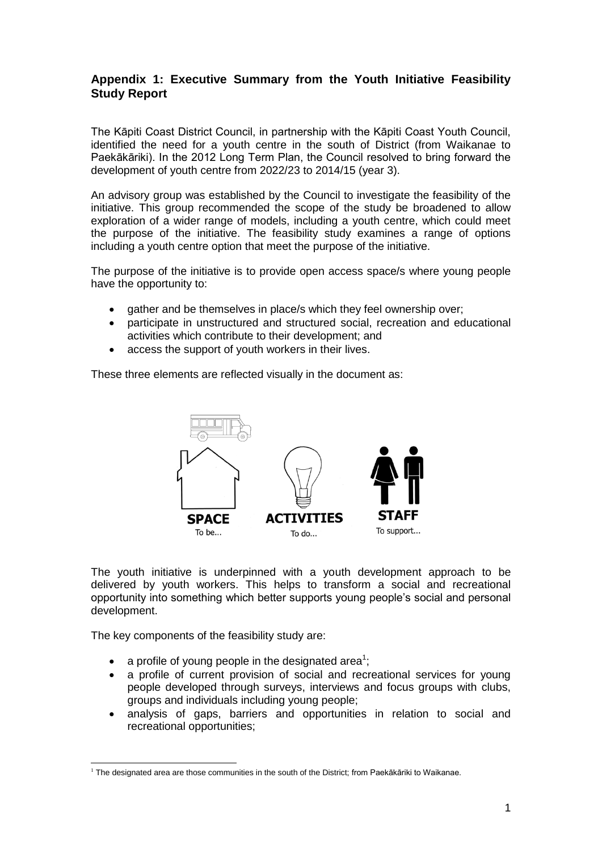## **Appendix 1: Executive Summary from the Youth Initiative Feasibility Study Report**

The Kāpiti Coast District Council, in partnership with the Kāpiti Coast Youth Council, identified the need for a youth centre in the south of District (from Waikanae to Paekākāriki). In the 2012 Long Term Plan, the Council resolved to bring forward the development of youth centre from 2022/23 to 2014/15 (year 3).

An advisory group was established by the Council to investigate the feasibility of the initiative. This group recommended the scope of the study be broadened to allow exploration of a wider range of models, including a youth centre, which could meet the purpose of the initiative. The feasibility study examines a range of options including a youth centre option that meet the purpose of the initiative.

The purpose of the initiative is to provide open access space/s where young people have the opportunity to:

- gather and be themselves in place/s which they feel ownership over;
- participate in unstructured and structured social, recreation and educational activities which contribute to their development; and
- access the support of youth workers in their lives.

These three elements are reflected visually in the document as:



The youth initiative is underpinned with a youth development approach to be delivered by youth workers. This helps to transform a social and recreational opportunity into something which better supports young people's social and personal development.

The key components of the feasibility study are:

- a profile of young people in the designated area<sup>1</sup>;
- a profile of current provision of social and recreational services for young people developed through surveys, interviews and focus groups with clubs, groups and individuals including young people;
- analysis of gaps, barriers and opportunities in relation to social and recreational opportunities;

<sup>-</sup> $1$  The designated area are those communities in the south of the District: from Paekākāriki to Waikanae.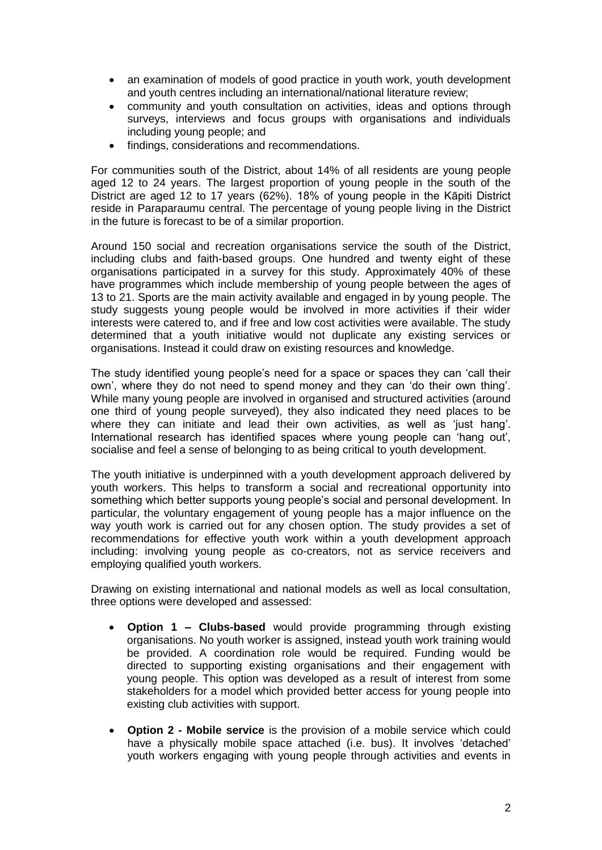- an examination of models of good practice in youth work, youth development and youth centres including an international/national literature review;
- community and youth consultation on activities, ideas and options through surveys, interviews and focus groups with organisations and individuals including young people; and
- findings, considerations and recommendations.

For communities south of the District, about 14% of all residents are young people aged 12 to 24 years. The largest proportion of young people in the south of the District are aged 12 to 17 years (62%). 18% of young people in the Kāpiti District reside in Paraparaumu central. The percentage of young people living in the District in the future is forecast to be of a similar proportion.

Around 150 social and recreation organisations service the south of the District, including clubs and faith-based groups. One hundred and twenty eight of these organisations participated in a survey for this study. Approximately 40% of these have programmes which include membership of young people between the ages of 13 to 21. Sports are the main activity available and engaged in by young people. The study suggests young people would be involved in more activities if their wider interests were catered to, and if free and low cost activities were available. The study determined that a youth initiative would not duplicate any existing services or organisations. Instead it could draw on existing resources and knowledge.

The study identified young people's need for a space or spaces they can 'call their own', where they do not need to spend money and they can 'do their own thing'. While many young people are involved in organised and structured activities (around one third of young people surveyed), they also indicated they need places to be where they can initiate and lead their own activities, as well as 'just hang'. International research has identified spaces where young people can 'hang out', socialise and feel a sense of belonging to as being critical to youth development.

The youth initiative is underpinned with a youth development approach delivered by youth workers. This helps to transform a social and recreational opportunity into something which better supports young people's social and personal development. In particular, the voluntary engagement of young people has a major influence on the way youth work is carried out for any chosen option. The study provides a set of recommendations for effective youth work within a youth development approach including: involving young people as co-creators, not as service receivers and employing qualified youth workers.

Drawing on existing international and national models as well as local consultation, three options were developed and assessed:

- **Option 1 – Clubs-based** would provide programming through existing organisations. No youth worker is assigned, instead youth work training would be provided. A coordination role would be required. Funding would be directed to supporting existing organisations and their engagement with young people. This option was developed as a result of interest from some stakeholders for a model which provided better access for young people into existing club activities with support.
- **Option 2 - Mobile service** is the provision of a mobile service which could have a physically mobile space attached (i.e. bus). It involves 'detached' youth workers engaging with young people through activities and events in